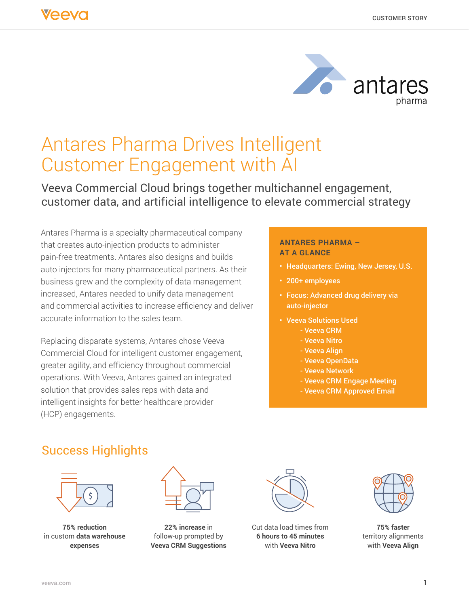

# Antares Pharma Drives Intelligent Customer Engagement with AI

# Veeva Commercial Cloud brings together multichannel engagement, customer data, and artificial intelligence to elevate commercial strategy

Antares Pharma is a specialty pharmaceutical company that creates auto-injection products to administer pain-free treatments. Antares also designs and builds auto injectors for many pharmaceutical partners. As their business grew and the complexity of data management increased, Antares needed to unify data management and commercial activities to increase efficiency and deliver accurate information to the sales team.

Replacing disparate systems, Antares chose Veeva Commercial Cloud for intelligent customer engagement, greater agility, and efficiency throughout commercial operations. With Veeva, Antares gained an integrated solution that provides sales reps with data and intelligent insights for better healthcare provider (HCP) engagements.

#### **ANTARES PHARMA – AT A GLANCE**

- Headquarters: Ewing, New Jersey, U.S.
- 200+ employees
- Focus: Advanced drug delivery via auto-injector
- Veeva Solutions Used
	- Veeva CRM
	- Veeva Nitro
	- Veeva Align
	- Veeva OpenData
	- Veeva Network
	- Veeva CRM Engage Meeting
	- Veeva CRM Approved Email

# Success Highlights



**75% reduction** in custom **data warehouse expenses**



**22% increase** in follow-up prompted by **Veeva CRM Suggestions**



Cut data load times from **6 hours to 45 minutes**  with **Veeva Nitro**



**75% faster** territory alignments with **Veeva Align**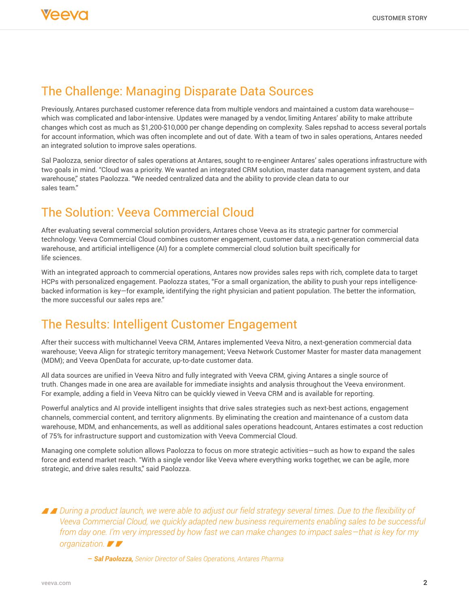

### The Challenge: Managing Disparate Data Sources

Previously, Antares purchased customer reference data from multiple vendors and maintained a custom data warehouse which was complicated and labor-intensive. Updates were managed by a vendor, limiting Antares' ability to make attribute changes which cost as much as \$1,200-\$10,000 per change depending on complexity. Sales repshad to access several portals for account information, which was often incomplete and out of date. With a team of two in sales operations, Antares needed an integrated solution to improve sales operations.

Sal Paolozza, senior director of sales operations at Antares, sought to re-engineer Antares' sales operations infrastructure with two goals in mind. "Cloud was a priority. We wanted an integrated CRM solution, master data management system, and data warehouse," states Paolozza. "We needed centralized data and the ability to provide clean data to our sales team."

# The Solution: Veeva Commercial Cloud

After evaluating several commercial solution providers, Antares chose Veeva as its strategic partner for commercial technology. Veeva Commercial Cloud combines customer engagement, customer data, a next-generation commercial data warehouse, and artificial intelligence (AI) for a complete commercial cloud solution built specifically for life sciences.

With an integrated approach to commercial operations, Antares now provides sales reps with rich, complete data to target HCPs with personalized engagement. Paolozza states, "For a small organization, the ability to push your reps intelligencebacked information is key—for example, identifying the right physician and patient population. The better the information, the more successful our sales reps are."

# The Results: Intelligent Customer Engagement

After their success with multichannel Veeva CRM, Antares implemented Veeva Nitro, a next-generation commercial data warehouse; Veeva Align for strategic territory management; Veeva Network Customer Master for master data management (MDM); and Veeva OpenData for accurate, up-to-date customer data.

All data sources are unified in Veeva Nitro and fully integrated with Veeva CRM, giving Antares a single source of truth. Changes made in one area are available for immediate insights and analysis throughout the Veeva environment. For example, adding a field in Veeva Nitro can be quickly viewed in Veeva CRM and is available for reporting.

Powerful analytics and AI provide intelligent insights that drive sales strategies such as next-best actions, engagement channels, commercial content, and territory alignments. By eliminating the creation and maintenance of a custom data warehouse, MDM, and enhancements, as well as additional sales operations headcount, Antares estimates a cost reduction of 75% for infrastructure support and customization with Veeva Commercial Cloud.

Managing one complete solution allows Paolozza to focus on more strategic activities—such as how to expand the sales force and extend market reach. "With a single vendor like Veeva where everything works together, we can be agile, more strategic, and drive sales results," said Paolozza.

*During a product launch, we were able to adjust our field strategy several times. Due to the flexibility of Veeva Commercial Cloud, we quickly adapted new business requirements enabling sales to be successful from day one. I'm very impressed by how fast we can make changes to impact sales—that is key for my organization.*

– *Sal Paolozza, Senior Director of Sales Operations, Antares Pharma*